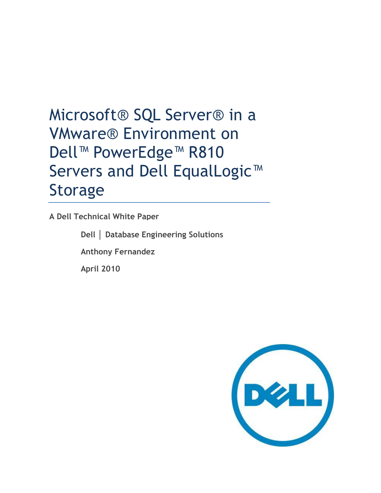# Microsoft® SQL Server® in a VMware® Environment on Dell™ PowerEdge™ R810 Servers and Dell EqualLogic<sup>™</sup> Storage

**A Dell Technical White Paper**

**Dell │ Database Engineering Solutions Anthony Fernandez**

**April 2010**

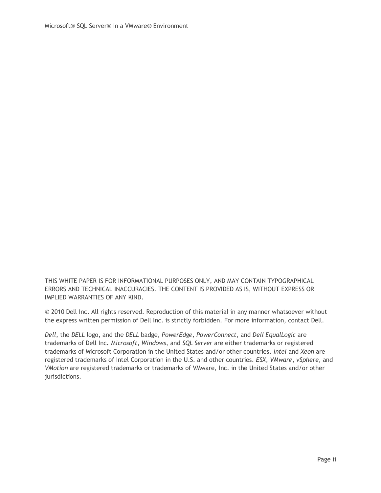THIS WHITE PAPER IS FOR INFORMATIONAL PURPOSES ONLY, AND MAY CONTAIN TYPOGRAPHICAL ERRORS AND TECHNICAL INACCURACIES. THE CONTENT IS PROVIDED AS IS, WITHOUT EXPRESS OR IMPLIED WARRANTIES OF ANY KIND.

© 2010 Dell Inc. All rights reserved. Reproduction of this material in any manner whatsoever without the express written permission of Dell Inc. is strictly forbidden. For more information, contact Dell.

*Dell*, the *DELL* logo, and the *DELL* badge, *PowerEdge, PowerConnect*, and *Dell EqualLogic* are trademarks of Dell Inc*. Microsoft*, *Windows*, and *SQL Server* are either trademarks or registered trademarks of Microsoft Corporation in the United States and/or other countries. *Intel* and *Xeon* are registered trademarks of Intel Corporation in the U.S. and other countries. *ESX*, *VMware*, *vSphere*, and *VMotion* are registered trademarks or trademarks of VMware, Inc. in the United States and/or other jurisdictions.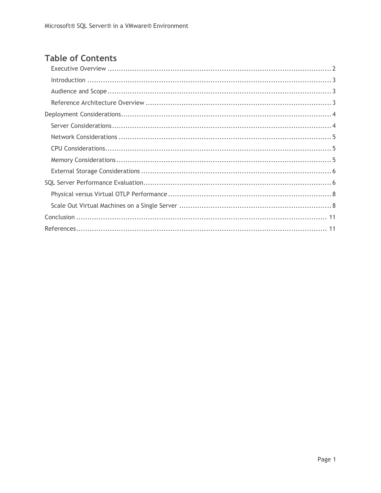## **Table of Contents**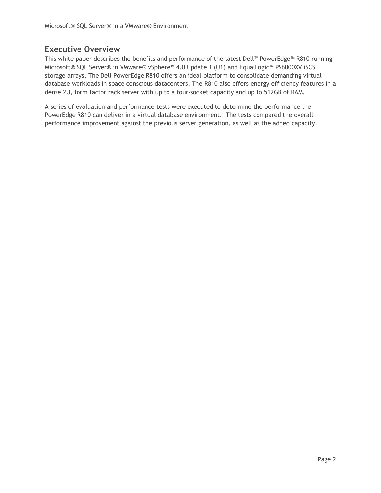## <span id="page-3-0"></span>**Executive Overview**

This white paper describes the benefits and performance of the latest Dell™ PowerEdge™ R810 running Microsoft® SQL Server® in VMware® vSphere™ 4.0 Update 1 (U1) and EqualLogic™ PS6000XV iSCSI storage arrays. The Dell PowerEdge R810 offers an ideal platform to consolidate demanding virtual database workloads in space conscious datacenters. The R810 also offers energy efficiency features in a dense 2U, form factor rack server with up to a four-socket capacity and up to 512GB of RAM.

<span id="page-3-1"></span>A series of evaluation and performance tests were executed to determine the performance the PowerEdge R810 can deliver in a virtual database environment. The tests compared the overall performance improvement against the previous server generation, as well as the added capacity.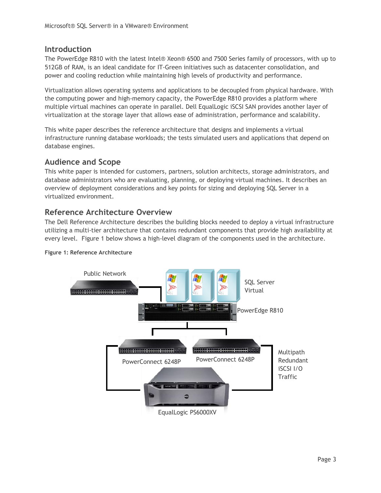### **Introduction**

The PowerEdge R810 with the latest Intel® Xeon® 6500 and 7500 Series family of processors, with up to 512GB of RAM, is an ideal candidate for IT-Green initiatives such as datacenter consolidation, and power and cooling reduction while maintaining high levels of productivity and performance.

Virtualization allows operating systems and applications to be decoupled from physical hardware. With the computing power and high-memory capacity, the PowerEdge R810 provides a platform where multiple virtual machines can operate in parallel. Dell EqualLogic iSCSI SAN provides another layer of virtualization at the storage layer that allows ease of administration, performance and scalability.

This white paper describes the reference architecture that designs and implements a virtual infrastructure running database workloads; the tests simulated users and applications that depend on database engines.

## <span id="page-4-0"></span>**Audience and Scope**

This white paper is intended for customers, partners, solution architects, storage administrators, and database administrators who are evaluating, planning, or deploying virtual machines. It describes an overview of deployment considerations and key points for sizing and deploying SQL Server in a virtualized environment.

## <span id="page-4-1"></span>**Reference Architecture Overview**

The Dell Reference Architecture describes the building blocks needed to deploy a virtual infrastructure utilizing a multi-tier architecture that contains redundant components that provide high availability at every level. Figure 1 below shows a high-level diagram of the components used in the architecture.



**Figure 1: Reference Architecture**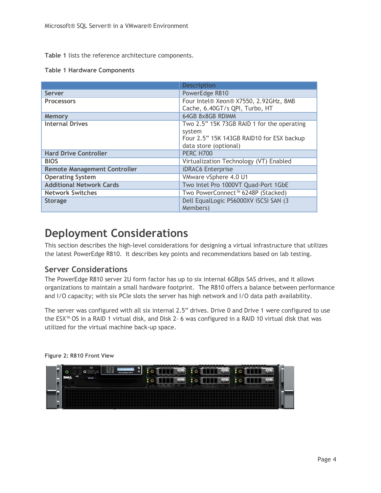**[Table 1](#page-5-2)** lists the reference architecture components.

<span id="page-5-2"></span>**Table 1 Hardware Components**

|                                     | <b>Description</b>                                                           |
|-------------------------------------|------------------------------------------------------------------------------|
| <b>Server</b>                       | PowerEdge R810                                                               |
| <b>Processors</b>                   | Four Intel® Xeon® X7550, 2.92GHz, 8MB<br>Cache, 6.40GT/s QPI, Turbo, HT      |
| Memory                              | 64GB 8x8GB RDIMM                                                             |
| <b>Internal Drives</b>              | Two 2.5" 15K 73GB RAID 1 for the operating                                   |
|                                     | system<br>Four 2.5" 15K 143GB RAID10 for ESX backup<br>data store (optional) |
| <b>Hard Drive Controller</b>        | <b>PERC H700</b>                                                             |
| <b>BIOS</b>                         | Virtualization Technology (VT) Enabled                                       |
| <b>Remote Management Controller</b> | iDRAC6 Enterprise                                                            |
| <b>Operating System</b>             | VMware vSphere 4.0 U1                                                        |
| <b>Additional Network Cards</b>     | Two Intel Pro 1000VT Quad-Port 1GbE                                          |
| <b>Network Switches</b>             | Two PowerConnect <sup>™</sup> 6248P (Stacked)                                |
| <b>Storage</b>                      | Dell EqualLogic PS6000XV iSCSI SAN (3<br>Members)                            |

## <span id="page-5-0"></span>**Deployment Considerations**

This section describes the high-level considerations for designing a virtual infrastructure that utilizes the latest PowerEdge R810. It describes key points and recommendations based on lab testing.

### <span id="page-5-1"></span>**Server Considerations**

The PowerEdge R810 server 2U form factor has up to six internal 6GBps SAS drives, and it allows organizations to maintain a small hardware footprint. The R810 offers a balance between performance and I/O capacity; with six PCIe slots the server has high network and I/O data path availability.

The server was configured with all six internal 2.5" drives. Drive 0 and Drive 1 were configured to use the ESX™ OS in a RAID 1 virtual disk, and Disk 2- 6 was configured in a RAID 10 virtual disk that was utilized for the virtual machine back-up space.

| Ō<br>۳<br>ల<br>÷ | $\bullet$<br>PowerEdge R810 | s | SATAu e<br>1001417-24 | SATAu e<br>140 = 7.3                                                                                                                                                                                                                                          | SATAL &<br><b>SR#7.5</b>  |
|------------------|-----------------------------|---|-----------------------|---------------------------------------------------------------------------------------------------------------------------------------------------------------------------------------------------------------------------------------------------------------|---------------------------|
| 6318             |                             |   | SATAU 0               | <b>The Contract of the Contract of the Contract of the Contract of the Contract of the Contract of the Contract of the Contract of the Contract of the Contract of the Contract of the Contract of the Contract of the Contract </b><br>SATAU 0<br>16000 7.29 | <b>SATAU 0</b><br>6000729 |
|                  |                             |   |                       |                                                                                                                                                                                                                                                               |                           |
|                  |                             |   |                       |                                                                                                                                                                                                                                                               |                           |

**Figure 2: R810 Front View**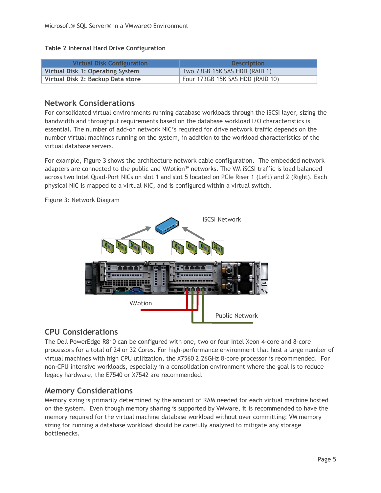**Table 2 Internal Hard Drive Configuration**

| <b>Virtual Disk Configuration</b> | <b>Description</b>               |
|-----------------------------------|----------------------------------|
| Virtual Disk 1: Operating System  | Two 73GB 15K SAS HDD (RAID 1)    |
| Virtual Disk 2: Backup Data store | Four 173GB 15K SAS HDD (RAID 10) |

### <span id="page-6-0"></span>**Network Considerations**

For consolidated virtual environments running database workloads through the iSCSI layer, sizing the bandwidth and throughput requirements based on the database workload I/O characteristics is essential. The number of add-on network NIC's required for drive network traffic depends on the number virtual machines running on the system, in addition to the workload characteristics of the virtual database servers.

For example, Figure 3 shows the architecture network cable configuration. The embedded network adapters are connected to the public and VMotion™ networks. The VM iSCSI traffic is load balanced across two Intel Quad-Port NICs on slot 1 and slot 5 located on PCIe Riser 1 (Left) and 2 (Right). Each physical NIC is mapped to a virtual NIC, and is configured within a virtual switch.

Figure 3: Network Diagram



## <span id="page-6-1"></span>**CPU Considerations**

The Dell PowerEdge R810 can be configured with one, two or four Intel Xeon 4-core and 8-core processors for a total of 24 or 32 Cores. For high-performance environment that host a large number of virtual machines with high CPU utilization, the X7560 2.26GHz 8-core processor is recommended. For non-CPU intensive workloads, especially in a consolidation environment where the goal is to reduce legacy hardware, the E7540 or X7542 are recommended.

## <span id="page-6-2"></span>**Memory Considerations**

Memory sizing is primarily determined by the amount of RAM needed for each virtual machine hosted on the system. Even though memory sharing is supported by VMware, it is recommended to have the memory required for the virtual machine database workload without over committing; VM memory sizing for running a database workload should be carefully analyzed to mitigate any storage bottlenecks.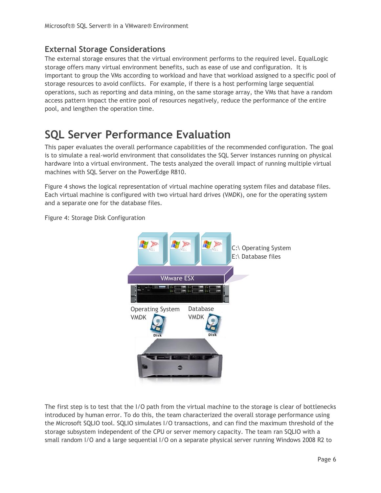## <span id="page-7-0"></span>**External Storage Considerations**

The external storage ensures that the virtual environment performs to the required level. EqualLogic storage offers many virtual environment benefits, such as ease of use and configuration. It is important to group the VMs according to workload and have that workload assigned to a specific pool of storage resources to avoid conflicts. For example, if there is a host performing large sequential operations, such as reporting and data mining, on the same storage array, the VMs that have a random access pattern impact the entire pool of resources negatively, reduce the performance of the entire pool, and lengthen the operation time.

## <span id="page-7-1"></span>**SQL Server Performance Evaluation**

This paper evaluates the overall performance capabilities of the recommended configuration. The goal is to simulate a real-world environment that consolidates the SQL Server instances running on physical hardware into a virtual environment. The tests analyzed the overall impact of running multiple virtual machines with SQL Server on the PowerEdge R810.

Figure 4 shows the logical representation of virtual machine operating system files and database files. Each virtual machine is configured with two virtual hard drives (VMDK), one for the operating system and a separate one for the database files.

Figure 4: Storage Disk Configuration



The first step is to test that the I/O path from the virtual machine to the storage is clear of bottlenecks introduced by human error. To do this, the team characterized the overall storage performance using the Microsoft SQLIO tool. SQLIO simulates I/O transactions, and can find the maximum threshold of the storage subsystem independent of the CPU or server memory capacity. The team ran SQLIO with a small random I/O and a large sequential I/O on a separate physical server running Windows 2008 R2 to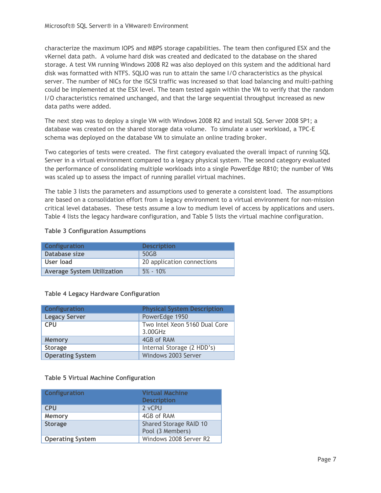characterize the maximum IOPS and MBPS storage capabilities. The team then configured ESX and the vKernel data path. A volume hard disk was created and dedicated to the database on the shared storage. A test VM running Windows 2008 R2 was also deployed on this system and the additional hard disk was formatted with NTFS. SQLIO was run to attain the same I/O characteristics as the physical server. The number of NICs for the iSCSI traffic was increased so that load balancing and multi-pathing could be implemented at the ESX level. The team tested again within the VM to verify that the random I/O characteristics remained unchanged, and that the large sequential throughput increased as new data paths were added.

The next step was to deploy a single VM with Windows 2008 R2 and install SQL Server 2008 SP1; a database was created on the shared storage data volume. To simulate a user workload, a TPC-E schema was deployed on the database VM to simulate an online trading broker.

Two categories of tests were created. The first category evaluated the overall impact of running SQL Server in a virtual environment compared to a legacy physical system. The second category evaluated the performance of consolidating multiple workloads into a single PowerEdge R810; the number of VMs was scaled up to assess the impact of running parallel virtual machines.

The table 3 lists the parameters and assumptions used to generate a consistent load. The assumptions are based on a consolidation effort from a legacy environment to a virtual environment for non-mission critical level databases. These tests assume a low to medium level of access by applications and users. Table 4 lists the legacy hardware configuration, and Table 5 lists the virtual machine configuration.

#### **Table 3 Configuration Assumptions**

| <b>Configuration</b>              | <b>Description</b>         |
|-----------------------------------|----------------------------|
| Database size                     | 50GB                       |
| User load                         | 20 application connections |
| <b>Average System Utilization</b> | $5\% - 10\%$               |

#### **Table 4 Legacy Hardware Configuration**

| Configuration           | <b>Physical System Description</b>       |
|-------------------------|------------------------------------------|
| <b>Legacy Server</b>    | PowerEdge 1950                           |
| <b>CPU</b>              | Two Intel Xeon 5160 Dual Core<br>3.00GHz |
| Memory                  | 4GB of RAM                               |
| <b>Storage</b>          | Internal Storage (2 HDD's)               |
| <b>Operating System</b> | Windows 2003 Server                      |

#### **Table 5 Virtual Machine Configuration**

| <b>Configuration</b>    | <b>Virtual Machine</b><br><b>Description</b> |
|-------------------------|----------------------------------------------|
| <b>CPU</b>              | 2 vCPU                                       |
| Memory                  | 4GB of RAM                                   |
| <b>Storage</b>          | Shared Storage RAID 10<br>Pool (3 Members)   |
| <b>Operating System</b> | Windows 2008 Server R2                       |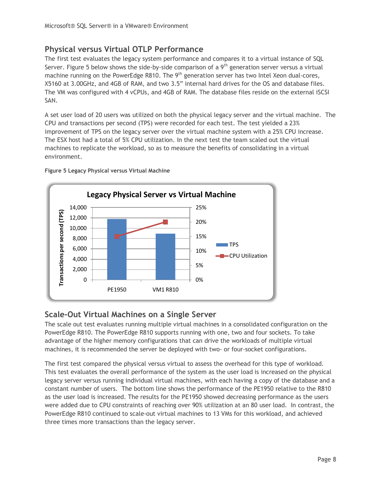## <span id="page-9-0"></span>**Physical versus Virtual OTLP Performance**

The first test evaluates the legacy system performance and compares it to a virtual instance of SQL Server. [Figure 5](#page-9-2) below shows the side-by-side comparison of a  $9<sup>th</sup>$  generation server versus a virtual machine running on the PowerEdge R810. The  $9<sup>th</sup>$  generation server has two Intel Xeon dual-cores, X5160 at 3.00GHz, and 4GB of RAM, and two 3.5" internal hard drives for the OS and database files. The VM was configured with 4 vCPUs, and 4GB of RAM. The database files reside on the external iSCSI SAN.

A set user load of 20 users was utilized on both the physical legacy server and the virtual machine. The CPU and transactions per second (TPS) were recorded for each test. The test yielded a 23% improvement of TPS on the legacy server over the virtual machine system with a 25% CPU increase. The ESX host had a total of 5% CPU utilization. In the next test the team scaled out the virtual machines to replicate the workload, so as to measure the benefits of consolidating in a virtual environment.



<span id="page-9-2"></span>**Figure 5 Legacy Physical versus Virtual Machine**

## <span id="page-9-1"></span>**Scale-Out Virtual Machines on a Single Server**

The scale out test evaluates running multiple virtual machines in a consolidated configuration on the PowerEdge R810. The PowerEdge R810 supports running with one, two and four sockets. To take advantage of the higher memory configurations that can drive the workloads of multiple virtual machines, it is recommended the server be deployed with two- or four-socket configurations.

The first test compared the physical versus virtual to assess the overhead for this type of workload. This test evaluates the overall performance of the system as the user load is increased on the physical legacy server versus running individual virtual machines, with each having a copy of the database and a constant number of users. The bottom line shows the performance of the PE1950 relative to the R810 as the user load is increased. The results for the PE1950 showed decreasing performance as the users were added due to CPU constraints of reaching over 90% utilization at an 80 user load. In contrast, the PowerEdge R810 continued to scale-out virtual machines to 13 VMs for this workload, and achieved three times more transactions than the legacy server.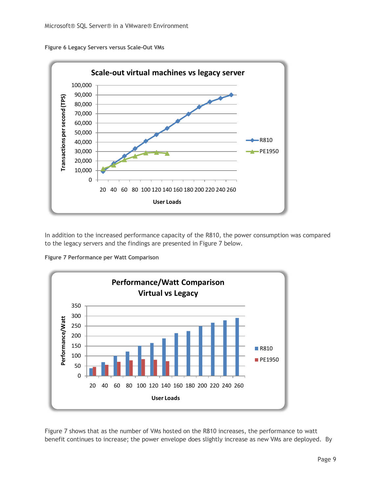**Figure 6 Legacy Servers versus Scale-Out VMs**



In addition to the increased performance capacity of the R810, the power consumption was compared to the legacy servers and the findings are presented in Figure 7 below.

**Figure 7 Performance per Watt Comparison**



Figure 7 shows that as the number of VMs hosted on the R810 increases, the performance to watt benefit continues to increase; the power envelope does slightly increase as new VMs are deployed. By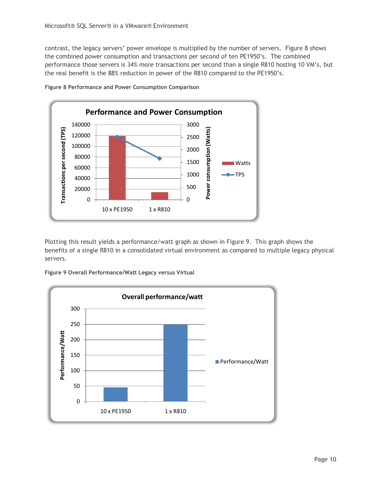contrast, the legacy servers' power envelope is multiplied by the number of servers. Figure 8 shows the combined power consumption and transactions per second of ten PE1950's. The combined performance those servers is 34% more transactions per second than a single R810 hosting 10 VM's, but the real benefit is the 88% reduction in power of the R810 compared to the PE1950's.



**Figure 8 Performance and Power Consumption Comparison**

Plotting this result yields a performance/watt graph as shown in Figure 9. This graph shows the benefits of a single R810 in a consolidated virtual environment as compared to multiple legacy physical servers.